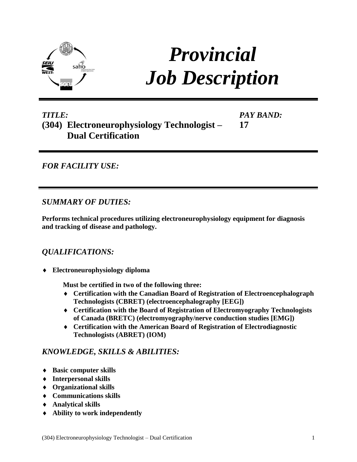

# *Provincial Job Description*

*PAY BAND:*

**17**

## *TITLE:* **(304) Electroneurophysiology Technologist – Dual Certification**

*FOR FACILITY USE:* 

*SUMMARY OF DUTIES:*

**Performs technical procedures utilizing electroneurophysiology equipment for diagnosis and tracking of disease and pathology.**

## *QUALIFICATIONS:*

**Electroneurophysiology diploma** 

**Must be certified in two of the following three:**

- **Certification with the Canadian Board of Registration of Electroencephalograph Technologists (CBRET) (electroencephalography [EEG])**
- **Certification with the Board of Registration of Electromyography Technologists of Canada (BRETC) (electromyography/nerve conduction studies [EMG])**
- **Certification with the American Board of Registration of Electrodiagnostic Technologists (ABRET) (IOM)**

## *KNOWLEDGE, SKILLS & ABILITIES:*

- **Basic computer skills**
- **Interpersonal skills**
- **Organizational skills**
- **Communications skills**
- **Analytical skills**
- **Ability to work independently**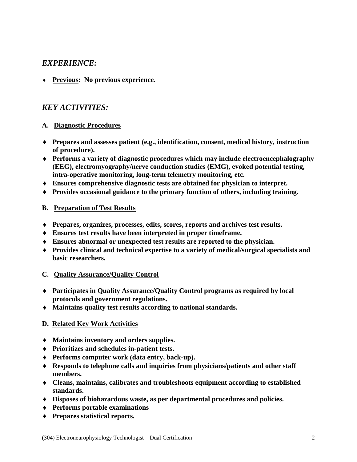### *EXPERIENCE:*

**Previous: No previous experience.**

## *KEY ACTIVITIES:*

#### **A. Diagnostic Procedures**

- **Prepares and assesses patient (e.g., identification, consent, medical history, instruction of procedure).**
- **Performs a variety of diagnostic procedures which may include electroencephalography (EEG), electromyography/nerve conduction studies (EMG), evoked potential testing, intra-operative monitoring, long-term telemetry monitoring, etc.**
- **Ensures comprehensive diagnostic tests are obtained for physician to interpret.**
- **Provides occasional guidance to the primary function of others, including training.**

#### **B. Preparation of Test Results**

- **Prepares, organizes, processes, edits, scores, reports and archives test results.**
- **Ensures test results have been interpreted in proper timeframe.**
- **Ensures abnormal or unexpected test results are reported to the physician.**
- **Provides clinical and technical expertise to a variety of medical/surgical specialists and basic researchers.**

#### **C. Quality Assurance/Quality Control**

- **Participates in Quality Assurance/Quality Control programs as required by local protocols and government regulations.**
- **Maintains quality test results according to national standards.**

#### **D. Related Key Work Activities**

- **Maintains inventory and orders supplies.**
- **Prioritizes and schedules in-patient tests.**
- **Performs computer work (data entry, back-up).**
- **Responds to telephone calls and inquiries from physicians/patients and other staff members.**
- **Cleans, maintains, calibrates and troubleshoots equipment according to established standards.**
- **Disposes of biohazardous waste, as per departmental procedures and policies.**
- **Performs portable examinations**
- **Prepares statistical reports.**